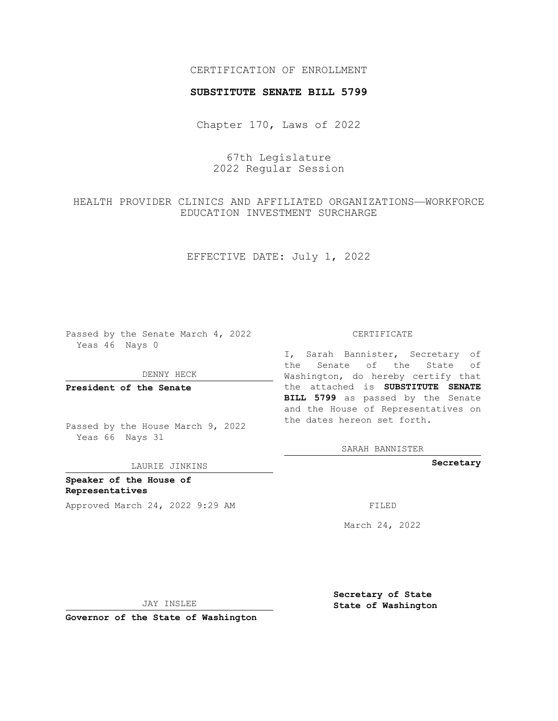## CERTIFICATION OF ENROLLMENT

## **SUBSTITUTE SENATE BILL 5799**

Chapter 170, Laws of 2022

67th Legislature 2022 Regular Session

# HEALTH PROVIDER CLINICS AND AFFILIATED ORGANIZATIONS—WORKFORCE EDUCATION INVESTMENT SURCHARGE

EFFECTIVE DATE: July 1, 2022

Passed by the Senate March 4, 2022 Yeas 46 Nays 0

DENNY HECK

**President of the Senate**

Passed by the House March 9, 2022 Yeas 66 Nays 31

LAURIE JINKINS

**Speaker of the House of Representatives** Approved March 24, 2022 9:29 AM FILED

#### CERTIFICATE

I, Sarah Bannister, Secretary of the Senate of the State of Washington, do hereby certify that the attached is **SUBSTITUTE SENATE BILL 5799** as passed by the Senate and the House of Representatives on the dates hereon set forth.

SARAH BANNISTER

**Secretary**

March 24, 2022

JAY INSLEE

**Governor of the State of Washington**

**Secretary of State State of Washington**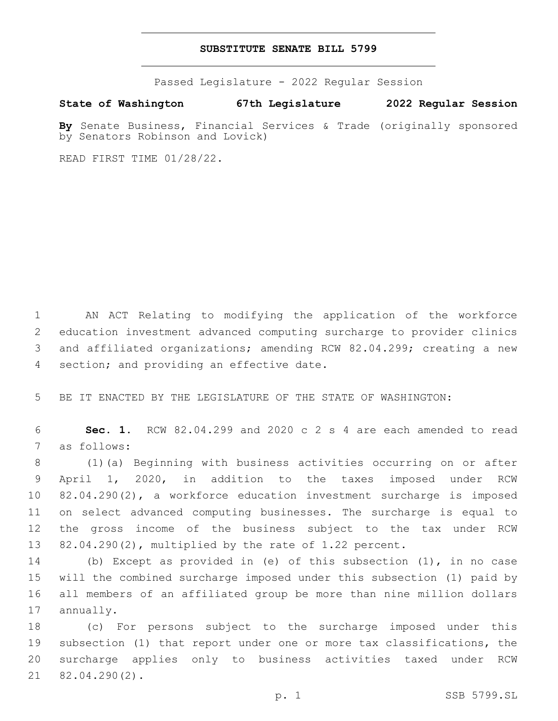## **SUBSTITUTE SENATE BILL 5799**

Passed Legislature - 2022 Regular Session

**State of Washington 67th Legislature 2022 Regular Session**

**By** Senate Business, Financial Services & Trade (originally sponsored by Senators Robinson and Lovick)

READ FIRST TIME 01/28/22.

 AN ACT Relating to modifying the application of the workforce education investment advanced computing surcharge to provider clinics and affiliated organizations; amending RCW 82.04.299; creating a new 4 section; and providing an effective date.

BE IT ENACTED BY THE LEGISLATURE OF THE STATE OF WASHINGTON:

 **Sec. 1.** RCW 82.04.299 and 2020 c 2 s 4 are each amended to read 7 as follows:

 (1)(a) Beginning with business activities occurring on or after April 1, 2020, in addition to the taxes imposed under RCW 82.04.290(2), a workforce education investment surcharge is imposed on select advanced computing businesses. The surcharge is equal to the gross income of the business subject to the tax under RCW 82.04.290(2), multiplied by the rate of 1.22 percent.

 (b) Except as provided in (e) of this subsection (1), in no case will the combined surcharge imposed under this subsection (1) paid by all members of an affiliated group be more than nine million dollars 17 annually.

 (c) For persons subject to the surcharge imposed under this subsection (1) that report under one or more tax classifications, the surcharge applies only to business activities taxed under RCW 21 82.04.290(2).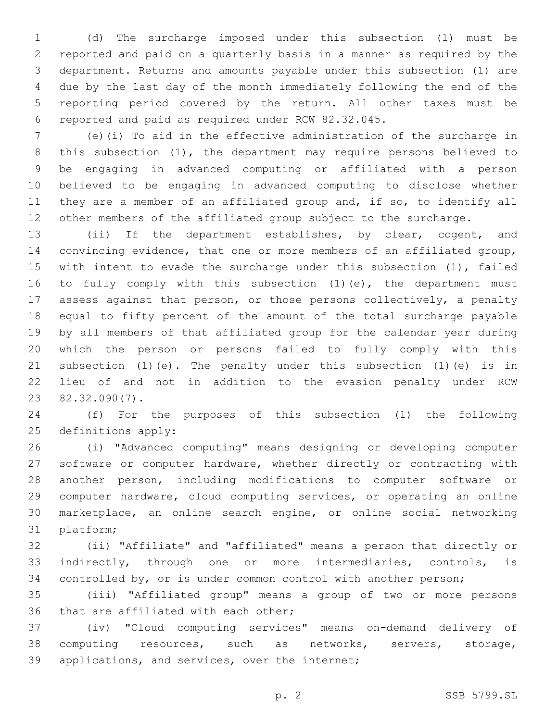(d) The surcharge imposed under this subsection (1) must be reported and paid on a quarterly basis in a manner as required by the department. Returns and amounts payable under this subsection (1) are due by the last day of the month immediately following the end of the reporting period covered by the return. All other taxes must be reported and paid as required under RCW 82.32.045.6

 (e)(i) To aid in the effective administration of the surcharge in this subsection (1), the department may require persons believed to be engaging in advanced computing or affiliated with a person believed to be engaging in advanced computing to disclose whether they are a member of an affiliated group and, if so, to identify all other members of the affiliated group subject to the surcharge.

 (ii) If the department establishes, by clear, cogent, and convincing evidence, that one or more members of an affiliated group, with intent to evade the surcharge under this subsection (1), failed 16 to fully comply with this subsection (1)(e), the department must assess against that person, or those persons collectively, a penalty equal to fifty percent of the amount of the total surcharge payable by all members of that affiliated group for the calendar year during which the person or persons failed to fully comply with this subsection (1)(e). The penalty under this subsection (1)(e) is in lieu of and not in addition to the evasion penalty under RCW 82.32.090(7).23

 (f) For the purposes of this subsection (1) the following 25 definitions apply:

 (i) "Advanced computing" means designing or developing computer software or computer hardware, whether directly or contracting with another person, including modifications to computer software or computer hardware, cloud computing services, or operating an online marketplace, an online search engine, or online social networking 31 platform;

 (ii) "Affiliate" and "affiliated" means a person that directly or indirectly, through one or more intermediaries, controls, is controlled by, or is under common control with another person;

 (iii) "Affiliated group" means a group of two or more persons 36 that are affiliated with each other;

 (iv) "Cloud computing services" means on-demand delivery of computing resources, such as networks, servers, storage, 39 applications, and services, over the internet;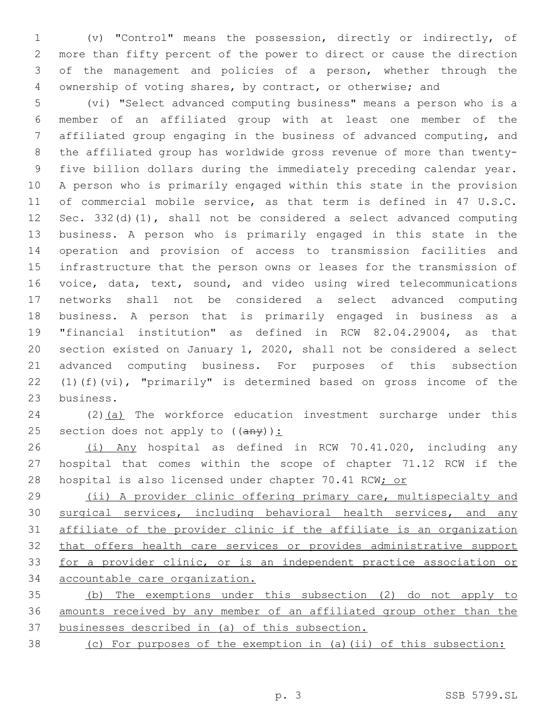(v) "Control" means the possession, directly or indirectly, of more than fifty percent of the power to direct or cause the direction of the management and policies of a person, whether through the ownership of voting shares, by contract, or otherwise; and

 (vi) "Select advanced computing business" means a person who is a member of an affiliated group with at least one member of the affiliated group engaging in the business of advanced computing, and the affiliated group has worldwide gross revenue of more than twenty- five billion dollars during the immediately preceding calendar year. A person who is primarily engaged within this state in the provision of commercial mobile service, as that term is defined in 47 U.S.C. Sec. 332(d)(1), shall not be considered a select advanced computing business. A person who is primarily engaged in this state in the operation and provision of access to transmission facilities and infrastructure that the person owns or leases for the transmission of voice, data, text, sound, and video using wired telecommunications networks shall not be considered a select advanced computing business. A person that is primarily engaged in business as a "financial institution" as defined in RCW 82.04.29004, as that section existed on January 1, 2020, shall not be considered a select advanced computing business. For purposes of this subsection (1)(f)(vi), "primarily" is determined based on gross income of the 23 business.

24 (2)(a) The workforce education investment surcharge under this 25 section does not apply to  $((a \nrightarrow y))$ :

 (i) Any hospital as defined in RCW 70.41.020, including any hospital that comes within the scope of chapter 71.12 RCW if the 28 hospital is also licensed under chapter 70.41 RCW; or

 (ii) A provider clinic offering primary care, multispecialty and 30 surgical services, including behavioral health services, and any affiliate of the provider clinic if the affiliate is an organization that offers health care services or provides administrative support for a provider clinic, or is an independent practice association or accountable care organization.

 (b) The exemptions under this subsection (2) do not apply to amounts received by any member of an affiliated group other than the businesses described in (a) of this subsection.

(c) For purposes of the exemption in (a)(ii) of this subsection: